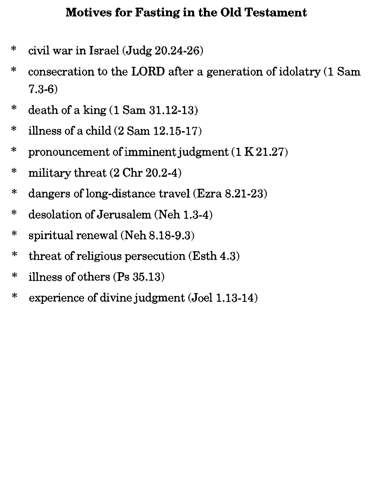### Motives for Fasting in the Old Testament

- \* civil war in Israel (Judg 20.24-26)
- \* consecration to the LORD after a generation of idolatry (1 Sam 7.3-6)
- \* death of a king  $(1$  Sam  $31.12$ -13)
- $*$  illness of a child  $(2 \text{ Sam } 12.15-17)$
- \* pronouncement of imminent judgment  $(1 K21.27)$
- $*$  military threat  $(2 \text{ Chr } 20.2-4)$
- \* dangers of long-distance travel (Ezra 8.21-23)
- \* desolation of Jerusalem (Neh 1.3-4)
- \* spiritual renewal (Neh  $8.18-9.3$ )
- \* threat of religious persecution (Esth 4.3)
- $*$  illness of others (Ps 35.13)
- \* experience of divine judgment (Joel 1.13-14)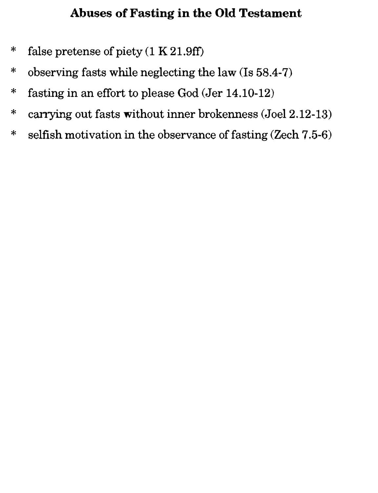### Abuses of Fasting in the Old Testament

- \* false pretense of piety (1 K 21.9fi)
- \* observing fasts while neglecting the law (Is 58.4-7)
- \* fasting in an effort to please God (Jer 14.10-12)
- \* carrying out fasts without inner brokenness (Joel 2.12-13)
- \* selfish motivation in the observance of fasting (Zech 7.5-6)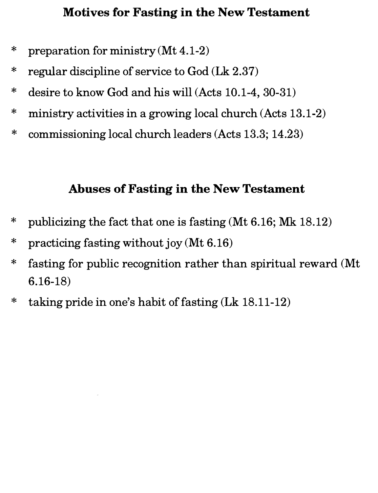#### Motives for Fasting in the New Testament

- \* preparation for ministry (Mt 4.1-2)
- \* regular discipline of service to God (Lk 2.37)
- \* desire to know God and his will (Acts 10.1-4, 30-31)
- \* ministry activities in a growing local church (Acts 13.1-2)
- \* commissioning local church leaders (Acts 13.3; 14.23)

#### Abuses of Fasting in the New Testament

- \* publicizing the fact that one is fasting (Mt 6.16; Mk 18.12)
- \* practicing fasting without joy (Mt 6.16)
- \* fasting for public recognition rather than spiritual reward (Mt 6.16-18)
- \* taking pride in one's habit of fasting (Lk 18.11-12)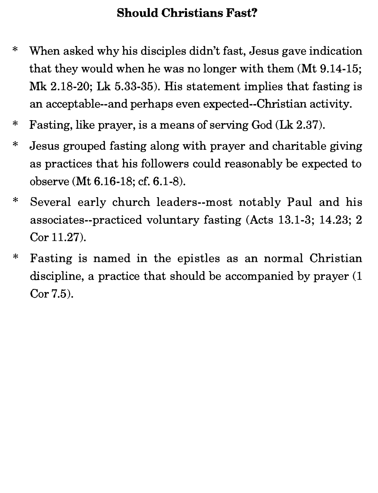# Should Christians Fast?

- \* When asked why his disciples didn't fast, Jesus gave indication that they would when he was no longer with them (Mt 9.14-15; Mk 2.18-20; Lk 5.33-35). His statement implies that fasting is an acceptable--and perhaps even expected--Christian activity.
- \* Fasting, like prayer, is a means of serving God (Lk 2.37).
- \* Jesus grouped fasting along with prayer and charitable giving as practices that his followers could reasonably be expected to observe (Mt 6.16-18; cf. 6.1-8).
- \* Several early church leaders--most notably Paul and his associates--practiced voluntary fasting (Acts 13.1-3; 14.23; 2 Cor 11.27).
- \* Fasting is named in the epistles as an normal Christian discipline, a practice that should be accompanied by prayer  $(1)$ Cor 7.5).